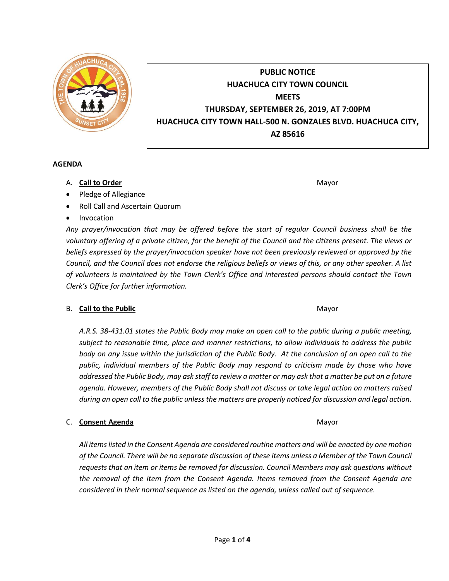

# **PUBLIC NOTICE HUACHUCA CITY TOWN COUNCIL MEETS THURSDAY, SEPTEMBER 26, 2019, AT 7:00PM HUACHUCA CITY TOWN HALL-500 N. GONZALES BLVD. HUACHUCA CITY, AZ 85616**

#### **AGENDA**

- A. **Call to Order** Mayor **Mayor** Mayor **Mayor** Mayor **Mayor**
- Pledge of Allegiance
- Roll Call and Ascertain Quorum
- Invocation

*Any prayer/invocation that may be offered before the start of regular Council business shall be the voluntary offering of a private citizen, for the benefit of the Council and the citizens present. The views or beliefs expressed by the prayer/invocation speaker have not been previously reviewed or approved by the Council, and the Council does not endorse the religious beliefs or views of this, or any other speaker. A list of volunteers is maintained by the Town Clerk's Office and interested persons should contact the Town Clerk's Office for further information.*

## B. **Call to the Public** Mayor **Mayor** Mayor **Mayor** Mayor

*A.R.S. 38-431.01 states the Public Body may make an open call to the public during a public meeting, subject to reasonable time, place and manner restrictions, to allow individuals to address the public body on any issue within the jurisdiction of the Public Body. At the conclusion of an open call to the public, individual members of the Public Body may respond to criticism made by those who have addressed the Public Body, may ask staff to review a matter or may ask that a matter be put on a future agenda. However, members of the Public Body shall not discuss or take legal action on matters raised during an open call to the public unless the matters are properly noticed for discussion and legal action.*

## C. **Consent Agenda** Mayor **C. Consent Agenda** Mayor **Mayor**

*All items listed in the Consent Agenda are considered routine matters and will be enacted by one motion of the Council. There will be no separate discussion of these items unless a Member of the Town Council requests that an item or items be removed for discussion. Council Members may ask questions without the removal of the item from the Consent Agenda. Items removed from the Consent Agenda are considered in their normal sequence as listed on the agenda, unless called out of sequence.*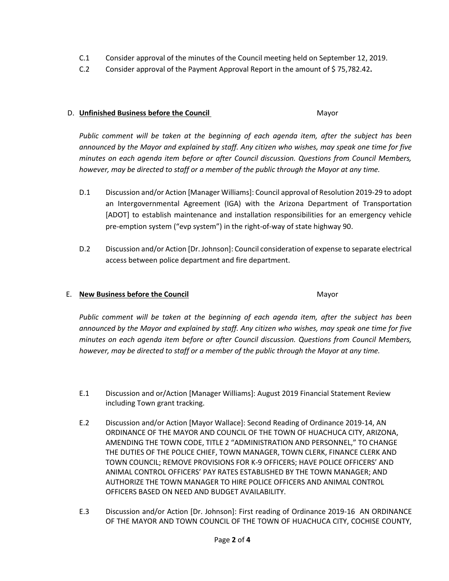- C.1 Consider approval of the minutes of the Council meeting held on September 12, 2019.
- C.2 Consider approval of the Payment Approval Report in the amount of \$ 75,782.42**.**

#### D. **Unfinished Business before the Council** Mayor

*Public comment will be taken at the beginning of each agenda item, after the subject has been announced by the Mayor and explained by staff. Any citizen who wishes, may speak one time for five minutes on each agenda item before or after Council discussion. Questions from Council Members, however, may be directed to staff or a member of the public through the Mayor at any time.*

- D.1 Discussion and/or Action [Manager Williams]: Council approval of Resolution 2019-29 to adopt an Intergovernmental Agreement (IGA) with the Arizona Department of Transportation [ADOT] to establish maintenance and installation responsibilities for an emergency vehicle pre-emption system ("evp system") in the right-of-way of state highway 90.
- D.2 Discussion and/or Action [Dr. Johnson]: Council consideration of expense to separate electrical access between police department and fire department.

### E. **New Business before the Council** Mayor

*Public comment will be taken at the beginning of each agenda item, after the subject has been announced by the Mayor and explained by staff. Any citizen who wishes, may speak one time for five minutes on each agenda item before or after Council discussion. Questions from Council Members, however, may be directed to staff or a member of the public through the Mayor at any time.*

- E.1 Discussion and or/Action [Manager Williams]: August 2019 Financial Statement Review including Town grant tracking.
- E.2 Discussion and/or Action [Mayor Wallace]: Second Reading of Ordinance 2019-14, AN ORDINANCE OF THE MAYOR AND COUNCIL OF THE TOWN OF HUACHUCA CITY, ARIZONA, AMENDING THE TOWN CODE, TITLE 2 "ADMINISTRATION AND PERSONNEL," TO CHANGE THE DUTIES OF THE POLICE CHIEF, TOWN MANAGER, TOWN CLERK, FINANCE CLERK AND TOWN COUNCIL; REMOVE PROVISIONS FOR K-9 OFFICERS; HAVE POLICE OFFICERS' AND ANIMAL CONTROL OFFICERS' PAY RATES ESTABLISHED BY THE TOWN MANAGER; AND AUTHORIZE THE TOWN MANAGER TO HIRE POLICE OFFICERS AND ANIMAL CONTROL OFFICERS BASED ON NEED AND BUDGET AVAILABILITY.
- E.3 Discussion and/or Action [Dr. Johnson]: First reading of Ordinance 2019-16 AN ORDINANCE OF THE MAYOR AND TOWN COUNCIL OF THE TOWN OF HUACHUCA CITY, COCHISE COUNTY,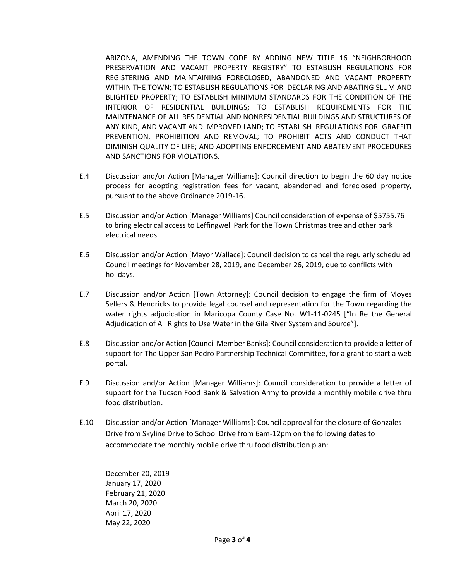ARIZONA, AMENDING THE TOWN CODE BY ADDING NEW TITLE 16 "NEIGHBORHOOD PRESERVATION AND VACANT PROPERTY REGISTRY" TO ESTABLISH REGULATIONS FOR REGISTERING AND MAINTAINING FORECLOSED, ABANDONED AND VACANT PROPERTY WITHIN THE TOWN; TO ESTABLISH REGULATIONS FOR DECLARING AND ABATING SLUM AND BLIGHTED PROPERTY; TO ESTABLISH MINIMUM STANDARDS FOR THE CONDITION OF THE INTERIOR OF RESIDENTIAL BUILDINGS; TO ESTABLISH REQUIREMENTS FOR THE MAINTENANCE OF ALL RESIDENTIAL AND NONRESIDENTIAL BUILDINGS AND STRUCTURES OF ANY KIND, AND VACANT AND IMPROVED LAND; TO ESTABLISH REGULATIONS FOR GRAFFITI PREVENTION, PROHIBITION AND REMOVAL; TO PROHIBIT ACTS AND CONDUCT THAT DIMINISH QUALITY OF LIFE; AND ADOPTING ENFORCEMENT AND ABATEMENT PROCEDURES AND SANCTIONS FOR VIOLATIONS.

- E.4 Discussion and/or Action [Manager Williams]: Council direction to begin the 60 day notice process for adopting registration fees for vacant, abandoned and foreclosed property, pursuant to the above Ordinance 2019-16.
- E.5 Discussion and/or Action [Manager Williams] Council consideration of expense of \$5755.76 to bring electrical access to Leffingwell Park for the Town Christmas tree and other park electrical needs.
- E.6 Discussion and/or Action [Mayor Wallace]: Council decision to cancel the regularly scheduled Council meetings for November 28, 2019, and December 26, 2019, due to conflicts with holidays.
- E.7 Discussion and/or Action [Town Attorney]: Council decision to engage the firm of Moyes Sellers & Hendricks to provide legal counsel and representation for the Town regarding the water rights adjudication in Maricopa County Case No. W1-11-0245 ["In Re the General Adjudication of All Rights to Use Water in the Gila River System and Source"].
- E.8 Discussion and/or Action [Council Member Banks]: Council consideration to provide a letter of support for The Upper San Pedro Partnership Technical Committee, for a grant to start a web portal.
- E.9 Discussion and/or Action [Manager Williams]: Council consideration to provide a letter of support for the Tucson Food Bank & Salvation Army to provide a monthly mobile drive thru food distribution.
- E.10 Discussion and/or Action [Manager Williams]: Council approval for the closure of Gonzales Drive from Skyline Drive to School Drive from 6am-12pm on the following dates to accommodate the monthly mobile drive thru food distribution plan:

December 20, 2019 January 17, 2020 February 21, 2020 March 20, 2020 April 17, 2020 May 22, 2020